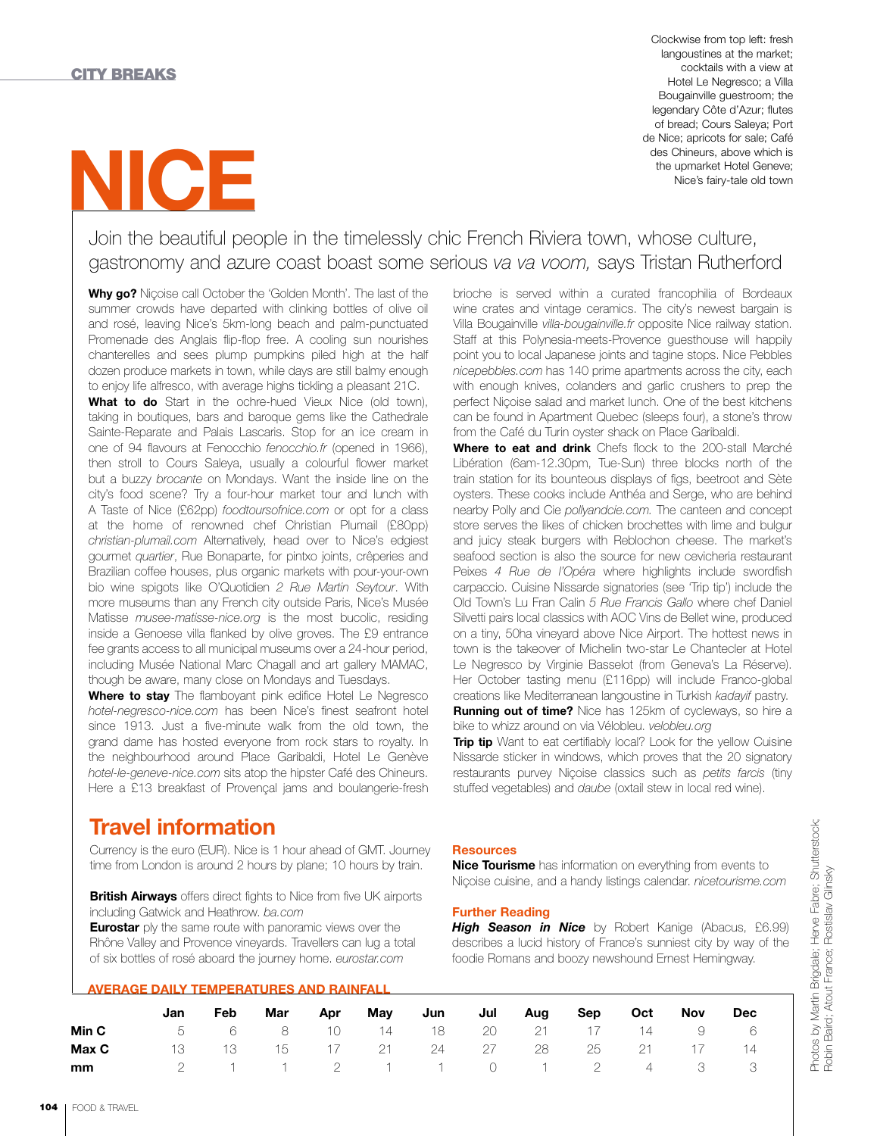# **NICE**

Clockwise from top left: fresh langoustines at the market; cocktails with a view at Hotel Le Negresco; a Villa Bougainville guestroom; the legendary Côte d'Azur; flutes of bread; Cours Saleya; Port de Nice; apricots for sale; Café des Chineurs, above which is the upmarket Hotel Geneve; Nice's fairy-tale old town

## Join the beautiful people in the timelessly chic French Riviera town, whose culture, gastronomy and azure coast boast some serious *va va voom,* says Tristan Rutherford

**Why go?** Niçoise call October the 'Golden Month'. The last of the summer crowds have departed with clinking bottles of olive oil and rosé, leaving Nice's 5km-long beach and palm-punctuated Promenade des Anglais flip-flop free. A cooling sun nourishes chanterelles and sees plump pumpkins piled high at the half dozen produce markets in town, while days are still balmy enough to enjoy life alfresco, with average highs tickling a pleasant 21C.

**What to do** Start in the ochre-hued Vieux Nice (old town), taking in boutiques, bars and baroque gems like the Cathedrale Sainte-Reparate and Palais Lascaris. Stop for an ice cream in one of 94 flavours at Fenocchio *fenocchio.fr* (opened in 1966), then stroll to Cours Saleya, usually a colourful flower market but a buzzy *brocante* on Mondays. Want the inside line on the city's food scene? Try a four-hour market tour and lunch with A Taste of Nice (£62pp) *foodtoursofnice.com* or opt for a class at the home of renowned chef Christian Plumail (£80pp) *christian-plumail.com* Alternatively, head over to Nice's edgiest gourmet *quartier*, Rue Bonaparte, for pintxo joints, crêperies and Brazilian coffee houses, plus organic markets with pour-your-own bio wine spigots like O'Quotidien *2 Rue Martin Seytour*. With more museums than any French city outside Paris, Nice's Musée Matisse *musee-matisse-nice.org* is the most bucolic, residing inside a Genoese villa flanked by olive groves. The £9 entrance fee grants access to all municipal museums over a 24-hour period, including Musée National Marc Chagall and art gallery MAMAC, though be aware, many close on Mondays and Tuesdays.

**Where to stay** The flamboyant pink edifice Hotel Le Negresco *hotel-negresco-nice.com* has been Nice's finest seafront hotel since 1913. Just a five-minute walk from the old town, the grand dame has hosted everyone from rock stars to royalty. In the neighbourhood around Place Garibaldi, Hotel Le Genève *hotel-le-geneve-nice.com* sits atop the hipster Café des Chineurs. Here a £13 breakfast of Provençal jams and boulangerie-fresh

brioche is served within a curated francophilia of Bordeaux wine crates and vintage ceramics. The city's newest bargain is Villa Bougainville *villa-bougainville.fr* opposite Nice railway station. Staff at this Polynesia-meets-Provence guesthouse will happily point you to local Japanese joints and tagine stops. Nice Pebbles *nicepebbles.com* has 140 prime apartments across the city, each with enough knives, colanders and garlic crushers to prep the perfect Niçoise salad and market lunch. One of the best kitchens can be found in Apartment Quebec (sleeps four), a stone's throw from the Café du Turin oyster shack on Place Garibaldi.

**Where to eat and drink** Chefs flock to the 200-stall Marché Libération (6am-12.30pm, Tue-Sun) three blocks north of the train station for its bounteous displays of figs, beetroot and Sète oysters. These cooks include Anthéa and Serge, who are behind nearby Polly and Cie *pollyandcie.com.* The canteen and concept store serves the likes of chicken brochettes with lime and bulgur and juicy steak burgers with Reblochon cheese. The market's seafood section is also the source for new cevicheria restaurant Peixes *4 Rue de l'Opéra* where highlights include swordfish carpaccio. Cuisine Nissarde signatories (see 'Trip tip') include the Old Town's Lu Fran Calin *5 Rue Francis Gallo* where chef Daniel Silvetti pairs local classics with AOC Vins de Bellet wine, produced on a tiny, 50ha vineyard above Nice Airport. The hottest news in town is the takeover of Michelin two-star Le Chantecler at Hotel Le Negresco by Virginie Basselot (from Geneva's La Réserve). Her October tasting menu (£116pp) will include Franco-global creations like Mediterranean langoustine in Turkish *kadayif* pastry. **Running out of time?** Nice has 125km of cycleways, so hire a bike to whizz around on via Vélobleu. *velobleu.org*

**Trip tip** Want to eat certifiably local? Look for the yellow Cuisine Nissarde sticker in windows, which proves that the 20 signatory restaurants purvey Niçoise classics such as *petits farcis* (tiny stuffed vegetables) and *daube* (oxtail stew in local red wine).

## **Travel information**

Currency is the euro (EUR). Nice is 1 hour ahead of GMT. Journey time from London is around 2 hours by plane; 10 hours by train.

**British Airways** offers direct fights to Nice from five UK airports including Gatwick and Heathrow. *ba.com*

**Eurostar** ply the same route with panoramic views over the Rhône Valley and Provence vineyards. Travellers can lug a total of six bottles of rosé aboard the journey home. *eurostar.com*

|  | <b>AVERAGE DAILY TEMPERATURES AND RAINFALL</b> |  |  |
|--|------------------------------------------------|--|--|

#### **Resources**

**Nice Tourisme** has information on everything from events to Niçoise cuisine, and a handy listings calendar. *nicetourisme.com*

### **Further Reading**

**High Season in Nice** by Robert Kanige (Abacus, £6.99) describes a lucid history of France's sunniest city by way of the foodie Romans and boozy newshound Ernest Hemingway.

|       | Jan | <b>Feb</b> | Mar | Apr | May | Jun                              | Jul Aug | Sep | Oct | Nov | Dec |  |
|-------|-----|------------|-----|-----|-----|----------------------------------|---------|-----|-----|-----|-----|--|
| Min C |     |            |     |     |     | 5 6 8 10 14 18 20 21 17 14 9 6   |         |     |     |     |     |  |
| Max C | 13  |            |     |     |     | 13 15 17 21 24 27 28 25 21 17 14 |         |     |     |     |     |  |
| mm    |     |            |     |     |     | 2 1 1 2 1 1 0 1 2 4 3 3          |         |     |     |     |     |  |